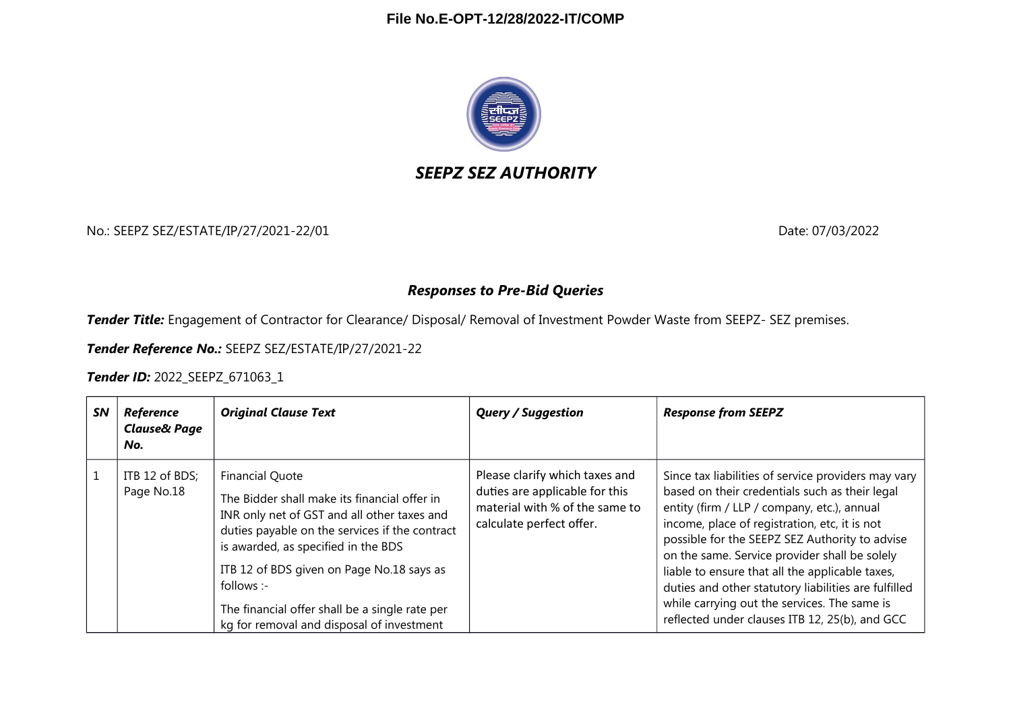

# *SEEPZ SEZ AUTHORITY*

No.: SEEPZ SEZ/ESTATE/IP/27/2021-22/01 Date: 07/03/2022

### *Responses to Pre-Bid Queries*

*Tender Title:* Engagement of Contractor for Clearance/ Disposal/ Removal of Investment Powder Waste from SEEPZ- SEZ premises.

*Tender Reference No.:* SEEPZ SEZ/ESTATE/IP/27/2021-22

*Tender ID:* 2022\_SEEPZ\_671063\_1

| <b>SN</b> | Reference<br><b>Clause&amp; Page</b><br>No. | <b>Original Clause Text</b>                                                                                                                                                                                                                                                                                                                                              | <b>Query / Suggestion</b>                                                                                                      | <b>Response from SEEPZ</b>                                                                                                                                                                                                                                                                                                                                                                                                                                                                                            |
|-----------|---------------------------------------------|--------------------------------------------------------------------------------------------------------------------------------------------------------------------------------------------------------------------------------------------------------------------------------------------------------------------------------------------------------------------------|--------------------------------------------------------------------------------------------------------------------------------|-----------------------------------------------------------------------------------------------------------------------------------------------------------------------------------------------------------------------------------------------------------------------------------------------------------------------------------------------------------------------------------------------------------------------------------------------------------------------------------------------------------------------|
|           | ITB 12 of BDS;<br>Page No.18                | <b>Financial Quote</b><br>The Bidder shall make its financial offer in<br>INR only net of GST and all other taxes and<br>duties payable on the services if the contract<br>is awarded, as specified in the BDS<br>ITB 12 of BDS given on Page No.18 says as<br>follows :-<br>The financial offer shall be a single rate per<br>kg for removal and disposal of investment | Please clarify which taxes and<br>duties are applicable for this<br>material with % of the same to<br>calculate perfect offer. | Since tax liabilities of service providers may vary<br>based on their credentials such as their legal<br>entity (firm / LLP / company, etc.), annual<br>income, place of registration, etc, it is not<br>possible for the SEEPZ SEZ Authority to advise<br>on the same. Service provider shall be solely<br>liable to ensure that all the applicable taxes,<br>duties and other statutory liabilities are fulfilled<br>while carrying out the services. The same is<br>reflected under clauses ITB 12, 25(b), and GCC |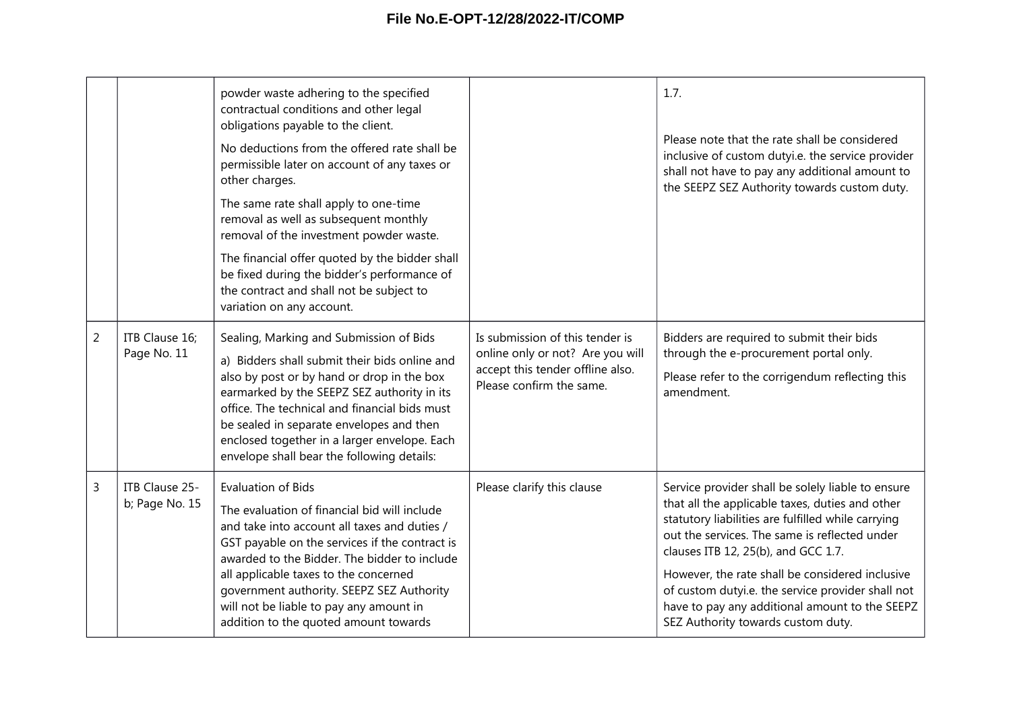|                |                                  | powder waste adhering to the specified<br>contractual conditions and other legal<br>obligations payable to the client.<br>No deductions from the offered rate shall be<br>permissible later on account of any taxes or<br>other charges.<br>The same rate shall apply to one-time<br>removal as well as subsequent monthly<br>removal of the investment powder waste.<br>The financial offer quoted by the bidder shall<br>be fixed during the bidder's performance of<br>the contract and shall not be subject to<br>variation on any account. |                                                                                                                                     | 1.7.<br>Please note that the rate shall be considered<br>inclusive of custom dutyi.e. the service provider<br>shall not have to pay any additional amount to<br>the SEEPZ SEZ Authority towards custom duty.                                                                                                                                                                                                                                       |
|----------------|----------------------------------|-------------------------------------------------------------------------------------------------------------------------------------------------------------------------------------------------------------------------------------------------------------------------------------------------------------------------------------------------------------------------------------------------------------------------------------------------------------------------------------------------------------------------------------------------|-------------------------------------------------------------------------------------------------------------------------------------|----------------------------------------------------------------------------------------------------------------------------------------------------------------------------------------------------------------------------------------------------------------------------------------------------------------------------------------------------------------------------------------------------------------------------------------------------|
| $\overline{2}$ | ITB Clause 16;<br>Page No. 11    | Sealing, Marking and Submission of Bids<br>a) Bidders shall submit their bids online and<br>also by post or by hand or drop in the box<br>earmarked by the SEEPZ SEZ authority in its<br>office. The technical and financial bids must<br>be sealed in separate envelopes and then<br>enclosed together in a larger envelope. Each<br>envelope shall bear the following details:                                                                                                                                                                | Is submission of this tender is<br>online only or not? Are you will<br>accept this tender offline also.<br>Please confirm the same. | Bidders are required to submit their bids<br>through the e-procurement portal only.<br>Please refer to the corrigendum reflecting this<br>amendment.                                                                                                                                                                                                                                                                                               |
| 3              | ITB Clause 25-<br>b; Page No. 15 | <b>Evaluation of Bids</b><br>The evaluation of financial bid will include<br>and take into account all taxes and duties /<br>GST payable on the services if the contract is<br>awarded to the Bidder. The bidder to include<br>all applicable taxes to the concerned<br>government authority. SEEPZ SEZ Authority<br>will not be liable to pay any amount in<br>addition to the quoted amount towards                                                                                                                                           | Please clarify this clause                                                                                                          | Service provider shall be solely liable to ensure<br>that all the applicable taxes, duties and other<br>statutory liabilities are fulfilled while carrying<br>out the services. The same is reflected under<br>clauses ITB 12, 25(b), and GCC 1.7.<br>However, the rate shall be considered inclusive<br>of custom dutyi.e. the service provider shall not<br>have to pay any additional amount to the SEEPZ<br>SEZ Authority towards custom duty. |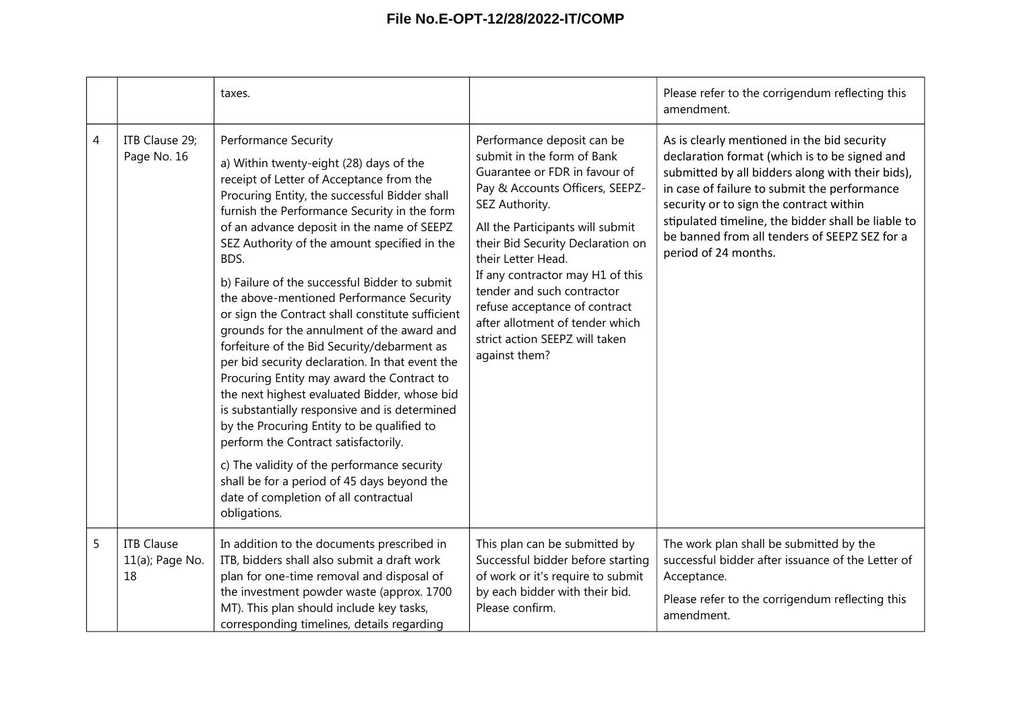|   |                                            | taxes.                                                                                                                                                                                                                                                                                                                                                                                                                                                                                                                                                                                                                                                                                                                                                                                                                                                                                                                                                                                                                 |                                                                                                                                                                                                                                                                                                                                                                                                                                        | Please refer to the corrigendum reflecting this<br>amendment.                                                                                                                                                                                                                                                                                                              |
|---|--------------------------------------------|------------------------------------------------------------------------------------------------------------------------------------------------------------------------------------------------------------------------------------------------------------------------------------------------------------------------------------------------------------------------------------------------------------------------------------------------------------------------------------------------------------------------------------------------------------------------------------------------------------------------------------------------------------------------------------------------------------------------------------------------------------------------------------------------------------------------------------------------------------------------------------------------------------------------------------------------------------------------------------------------------------------------|----------------------------------------------------------------------------------------------------------------------------------------------------------------------------------------------------------------------------------------------------------------------------------------------------------------------------------------------------------------------------------------------------------------------------------------|----------------------------------------------------------------------------------------------------------------------------------------------------------------------------------------------------------------------------------------------------------------------------------------------------------------------------------------------------------------------------|
| 4 | ITB Clause 29;<br>Page No. 16              | <b>Performance Security</b><br>a) Within twenty-eight (28) days of the<br>receipt of Letter of Acceptance from the<br>Procuring Entity, the successful Bidder shall<br>furnish the Performance Security in the form<br>of an advance deposit in the name of SEEPZ<br>SEZ Authority of the amount specified in the<br>BDS.<br>b) Failure of the successful Bidder to submit<br>the above-mentioned Performance Security<br>or sign the Contract shall constitute sufficient<br>grounds for the annulment of the award and<br>forfeiture of the Bid Security/debarment as<br>per bid security declaration. In that event the<br>Procuring Entity may award the Contract to<br>the next highest evaluated Bidder, whose bid<br>is substantially responsive and is determined<br>by the Procuring Entity to be qualified to<br>perform the Contract satisfactorily.<br>c) The validity of the performance security<br>shall be for a period of 45 days beyond the<br>date of completion of all contractual<br>obligations. | Performance deposit can be<br>submit in the form of Bank<br>Guarantee or FDR in favour of<br>Pay & Accounts Officers, SEEPZ-<br>SEZ Authority.<br>All the Participants will submit<br>their Bid Security Declaration on<br>their Letter Head.<br>If any contractor may H1 of this<br>tender and such contractor<br>refuse acceptance of contract<br>after allotment of tender which<br>strict action SEEPZ will taken<br>against them? | As is clearly mentioned in the bid security<br>declaration format (which is to be signed and<br>submitted by all bidders along with their bids),<br>in case of failure to submit the performance<br>security or to sign the contract within<br>stipulated timeline, the bidder shall be liable to<br>be banned from all tenders of SEEPZ SEZ for a<br>period of 24 months. |
| 5 | <b>ITB Clause</b><br>11(a); Page No.<br>18 | In addition to the documents prescribed in<br>ITB, bidders shall also submit a draft work<br>plan for one-time removal and disposal of<br>the investment powder waste (approx. 1700<br>MT). This plan should include key tasks,<br>corresponding timelines, details regarding                                                                                                                                                                                                                                                                                                                                                                                                                                                                                                                                                                                                                                                                                                                                          | This plan can be submitted by<br>Successful bidder before starting<br>of work or it's require to submit<br>by each bidder with their bid.<br>Please confirm.                                                                                                                                                                                                                                                                           | The work plan shall be submitted by the<br>successful bidder after issuance of the Letter of<br>Acceptance.<br>Please refer to the corrigendum reflecting this<br>amendment.                                                                                                                                                                                               |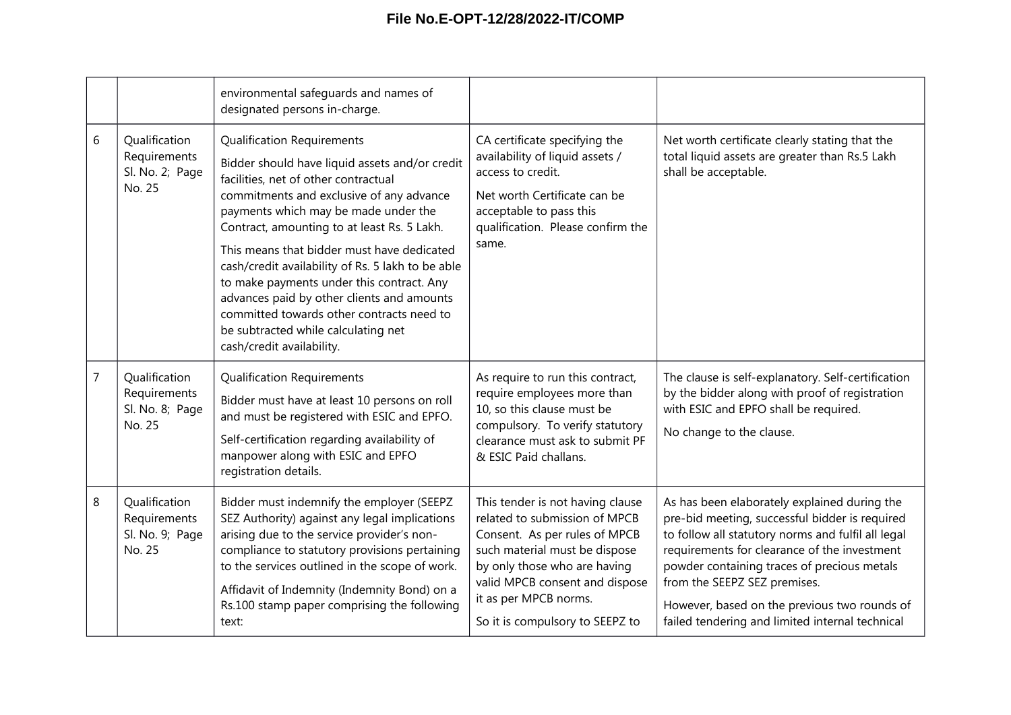|   |                                                            | environmental safeguards and names of<br>designated persons in-charge.                                                                                                                                                                                                                                                                                                                                                                                                                                                                                                        |                                                                                                                                                                                                                                                                   |                                                                                                                                                                                                                                                                                                                                                                                        |
|---|------------------------------------------------------------|-------------------------------------------------------------------------------------------------------------------------------------------------------------------------------------------------------------------------------------------------------------------------------------------------------------------------------------------------------------------------------------------------------------------------------------------------------------------------------------------------------------------------------------------------------------------------------|-------------------------------------------------------------------------------------------------------------------------------------------------------------------------------------------------------------------------------------------------------------------|----------------------------------------------------------------------------------------------------------------------------------------------------------------------------------------------------------------------------------------------------------------------------------------------------------------------------------------------------------------------------------------|
| 6 | Qualification<br>Requirements<br>Sl. No. 2; Page<br>No. 25 | <b>Qualification Requirements</b><br>Bidder should have liquid assets and/or credit<br>facilities, net of other contractual<br>commitments and exclusive of any advance<br>payments which may be made under the<br>Contract, amounting to at least Rs. 5 Lakh.<br>This means that bidder must have dedicated<br>cash/credit availability of Rs. 5 lakh to be able<br>to make payments under this contract. Any<br>advances paid by other clients and amounts<br>committed towards other contracts need to<br>be subtracted while calculating net<br>cash/credit availability. | CA certificate specifying the<br>availability of liquid assets /<br>access to credit.<br>Net worth Certificate can be<br>acceptable to pass this<br>qualification. Please confirm the<br>same.                                                                    | Net worth certificate clearly stating that the<br>total liquid assets are greater than Rs.5 Lakh<br>shall be acceptable.                                                                                                                                                                                                                                                               |
| 7 | Qualification<br>Requirements<br>Sl. No. 8; Page<br>No. 25 | <b>Qualification Requirements</b><br>Bidder must have at least 10 persons on roll<br>and must be registered with ESIC and EPFO.<br>Self-certification regarding availability of<br>manpower along with ESIC and EPFO<br>registration details.                                                                                                                                                                                                                                                                                                                                 | As require to run this contract,<br>require employees more than<br>10, so this clause must be<br>compulsory. To verify statutory<br>clearance must ask to submit PF<br>& ESIC Paid challans.                                                                      | The clause is self-explanatory. Self-certification<br>by the bidder along with proof of registration<br>with ESIC and EPFO shall be required.<br>No change to the clause.                                                                                                                                                                                                              |
| 8 | Qualification<br>Requirements<br>Sl. No. 9; Page<br>No. 25 | Bidder must indemnify the employer (SEEPZ<br>SEZ Authority) against any legal implications<br>arising due to the service provider's non-<br>compliance to statutory provisions pertaining<br>to the services outlined in the scope of work.<br>Affidavit of Indemnity (Indemnity Bond) on a<br>Rs.100 stamp paper comprising the following<br>text:                                                                                                                                                                                                                           | This tender is not having clause<br>related to submission of MPCB<br>Consent. As per rules of MPCB<br>such material must be dispose<br>by only those who are having<br>valid MPCB consent and dispose<br>it as per MPCB norms.<br>So it is compulsory to SEEPZ to | As has been elaborately explained during the<br>pre-bid meeting, successful bidder is required<br>to follow all statutory norms and fulfil all legal<br>requirements for clearance of the investment<br>powder containing traces of precious metals<br>from the SEEPZ SEZ premises.<br>However, based on the previous two rounds of<br>failed tendering and limited internal technical |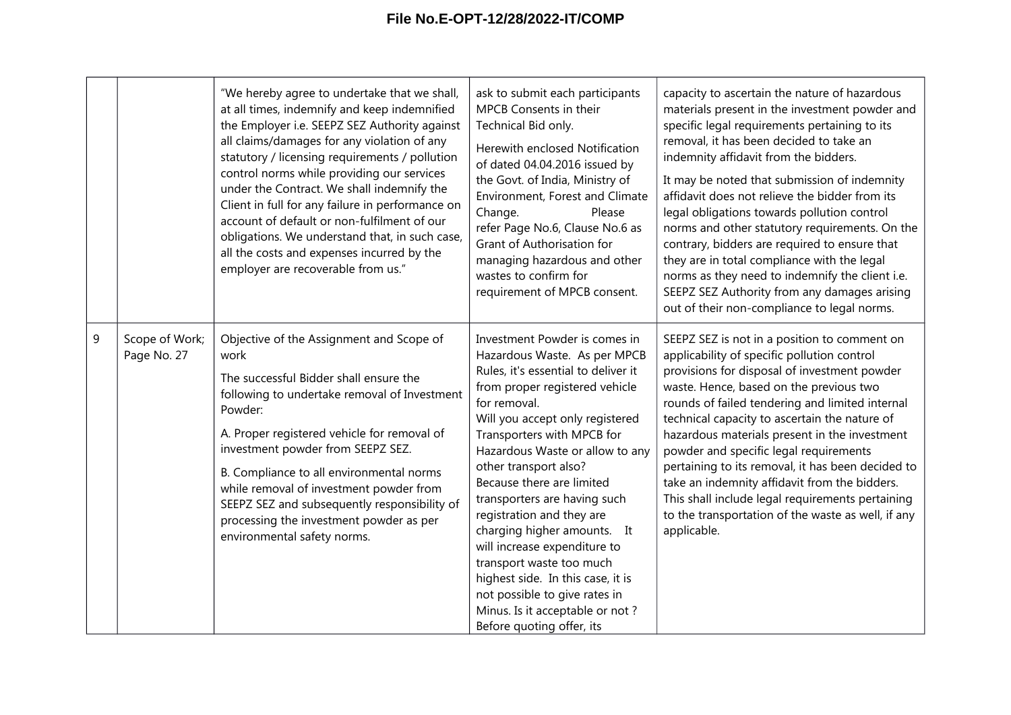|   |                               | "We hereby agree to undertake that we shall,<br>at all times, indemnify and keep indemnified<br>the Employer i.e. SEEPZ SEZ Authority against<br>all claims/damages for any violation of any<br>statutory / licensing requirements / pollution<br>control norms while providing our services<br>under the Contract. We shall indemnify the<br>Client in full for any failure in performance on<br>account of default or non-fulfilment of our<br>obligations. We understand that, in such case,<br>all the costs and expenses incurred by the<br>employer are recoverable from us." | ask to submit each participants<br>MPCB Consents in their<br>Technical Bid only.<br>Herewith enclosed Notification<br>of dated 04.04.2016 issued by<br>the Govt. of India, Ministry of<br>Environment, Forest and Climate<br>Please<br>Change.<br>refer Page No.6, Clause No.6 as<br>Grant of Authorisation for<br>managing hazardous and other<br>wastes to confirm for<br>requirement of MPCB consent.                                                                                                                                                                                                       | capacity to ascertain the nature of hazardous<br>materials present in the investment powder and<br>specific legal requirements pertaining to its<br>removal, it has been decided to take an<br>indemnity affidavit from the bidders.<br>It may be noted that submission of indemnity<br>affidavit does not relieve the bidder from its<br>legal obligations towards pollution control<br>norms and other statutory requirements. On the<br>contrary, bidders are required to ensure that<br>they are in total compliance with the legal<br>norms as they need to indemnify the client i.e.<br>SEEPZ SEZ Authority from any damages arising<br>out of their non-compliance to legal norms. |
|---|-------------------------------|-------------------------------------------------------------------------------------------------------------------------------------------------------------------------------------------------------------------------------------------------------------------------------------------------------------------------------------------------------------------------------------------------------------------------------------------------------------------------------------------------------------------------------------------------------------------------------------|----------------------------------------------------------------------------------------------------------------------------------------------------------------------------------------------------------------------------------------------------------------------------------------------------------------------------------------------------------------------------------------------------------------------------------------------------------------------------------------------------------------------------------------------------------------------------------------------------------------|-------------------------------------------------------------------------------------------------------------------------------------------------------------------------------------------------------------------------------------------------------------------------------------------------------------------------------------------------------------------------------------------------------------------------------------------------------------------------------------------------------------------------------------------------------------------------------------------------------------------------------------------------------------------------------------------|
| 9 | Scope of Work;<br>Page No. 27 | Objective of the Assignment and Scope of<br>work<br>The successful Bidder shall ensure the<br>following to undertake removal of Investment<br>Powder:<br>A. Proper registered vehicle for removal of<br>investment powder from SEEPZ SEZ.<br>B. Compliance to all environmental norms<br>while removal of investment powder from<br>SEEPZ SEZ and subsequently responsibility of<br>processing the investment powder as per<br>environmental safety norms.                                                                                                                          | Investment Powder is comes in<br>Hazardous Waste. As per MPCB<br>Rules, it's essential to deliver it<br>from proper registered vehicle<br>for removal.<br>Will you accept only registered<br>Transporters with MPCB for<br>Hazardous Waste or allow to any<br>other transport also?<br>Because there are limited<br>transporters are having such<br>registration and they are<br>charging higher amounts. It<br>will increase expenditure to<br>transport waste too much<br>highest side. In this case, it is<br>not possible to give rates in<br>Minus. Is it acceptable or not?<br>Before quoting offer, its | SEEPZ SEZ is not in a position to comment on<br>applicability of specific pollution control<br>provisions for disposal of investment powder<br>waste. Hence, based on the previous two<br>rounds of failed tendering and limited internal<br>technical capacity to ascertain the nature of<br>hazardous materials present in the investment<br>powder and specific legal requirements<br>pertaining to its removal, it has been decided to<br>take an indemnity affidavit from the bidders.<br>This shall include legal requirements pertaining<br>to the transportation of the waste as well, if any<br>applicable.                                                                      |